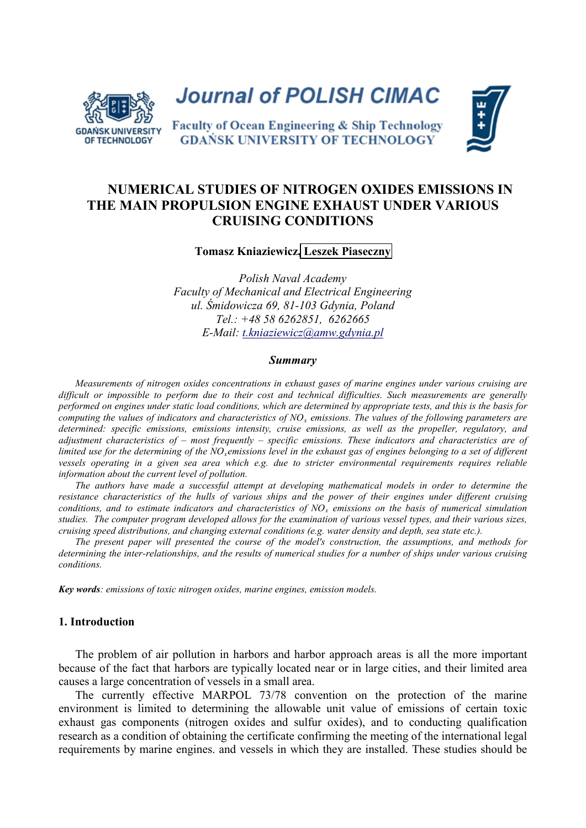

**Journal of POLISH CIMAC** 

**Faculty of Ocean Engineering & Ship Technology GDAŃSK UNIVERSITY OF TECHNOLOGY** 



# **NUMERICAL STUDIES OF NITROGEN OXIDES EMISSIONS IN THE MAIN PROPULSION ENGINE EXHAUST UNDER VARIOUS CRUISING CONDITIONS**

**Tomasz Kniaziewicz, Leszek Piaseczny**

*Polish Naval Academy Faculty of Mechanical and Electrical Engineering ul. Śmidowicza 69, 81-103 Gdynia, Poland Tel.: +48 58 6262851, 6262665 E-Mail: [t.kniaziewicz@amw.gdynia.pl](mailto:t.kniaziewicz@amw.gdynia.pl)*

#### *Summary*

*Measurements of nitrogen oxides concentrations in exhaust gases of marine engines under various cruising are difficult or impossible to perform due to their cost and technical difficulties. Such measurements are generally performed on engines under static load conditions, which are determined by appropriate tests, and this is the basis for computing the values of indicators and characteristics of NO<sup>x</sup> emissions. The values of the following parameters are determined: specific emissions, emissions intensity, cruise emissions, as well as the propeller, regulatory, and adjustment characteristics of – most frequently – specific emissions. These indicators and characteristics are of limited use for the determining of the NOxemissions level in the exhaust gas of engines belonging to a set of different vessels operating in a given sea area which e.g. due to stricter environmental requirements requires reliable information about the current level of pollution.*

*The authors have made a successful attempt at developing mathematical models in order to determine the resistance characteristics of the hulls of various ships and the power of their engines under different cruising conditions, and to estimate indicators and characteristics of NO<sup>x</sup> emissions on the basis of numerical simulation studies. The computer program developed allows for the examination of various vessel types, and their various sizes, cruising speed distributions, and changing external conditions (e.g. water density and depth, sea state etc.).*

*The present paper will presented the course of the model's construction, the assumptions, and methods for determining the inter-relationships, and the results of numerical studies for a number of ships under various cruising conditions.*

*Key words: emissions of toxic nitrogen oxides, marine engines, emission models.* 

### **1. Introduction**

The problem of air pollution in harbors and harbor approach areas is all the more important because of the fact that harbors are typically located near or in large cities, and their limited area causes a large concentration of vessels in a small area.

The currently effective MARPOL 73/78 convention on the protection of the marine environment is limited to determining the allowable unit value of emissions of certain toxic exhaust gas components (nitrogen oxides and sulfur oxides), and to conducting qualification research as a condition of obtaining the certificate confirming the meeting of the international legal requirements by marine engines. and vessels in which they are installed. These studies should be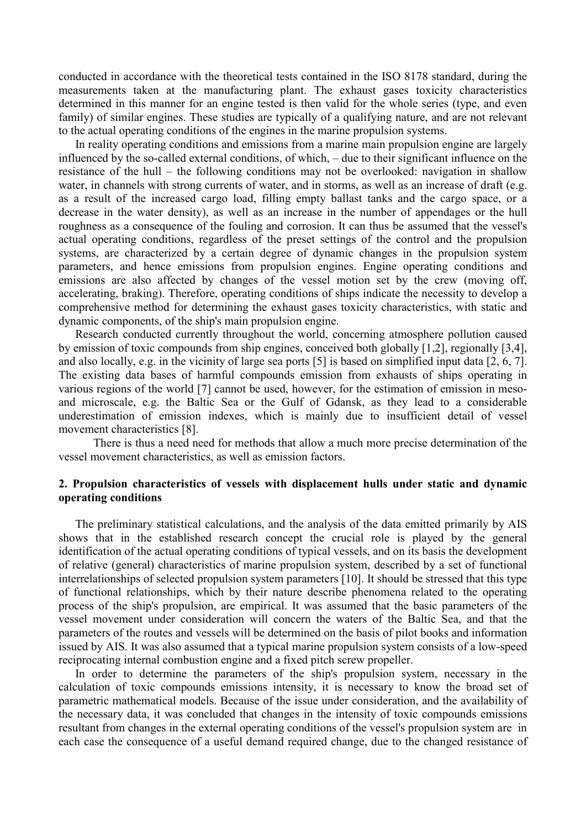conducted in accordance with the theoretical tests contained in the ISO 8178 standard, during the measurements taken at the manufacturing plant. The exhaust gases toxicity characteristics determined in this manner for an engine tested is then valid for the whole series (type, and even family) of similar engines. These studies are typically of a qualifying nature, and are not relevant to the actual operating conditions of the engines in the marine propulsion systems.

In reality operating conditions and emissions from a marine main propulsion engine are largely influenced by the so-called external conditions, of which, – due to their significant influence on the resistance of the hull – the following conditions may not be overlooked: navigation in shallow water, in channels with strong currents of water, and in storms, as well as an increase of draft (e.g. as a result of the increased cargo load, filling empty ballast tanks and the cargo space, or a decrease in the water density), as well as an increase in the number of appendages or the hull roughness as a consequence of the fouling and corrosion. It can thus be assumed that the vessel's actual operating conditions, regardless of the preset settings of the control and the propulsion systems, are characterized by a certain degree of dynamic changes in the propulsion system parameters, and hence emissions from propulsion engines. Engine operating conditions and emissions are also affected by changes of the vessel motion set by the crew (moving off, accelerating, braking). Therefore, operating conditions of ships indicate the necessity to develop a comprehensive method for determining the exhaust gases toxicity characteristics, with static and dynamic components, of the ship's main propulsion engine.

Research conducted currently throughout the world, concerning atmosphere pollution caused by emission of toxic compounds from ship engines, conceived both globally [1,2], regionally [3,4], and also locally, e.g. in the vicinity of large sea ports [5] is based on simplified input data [2, 6, 7]. The existing data bases of harmful compounds emission from exhausts of ships operating in various regions of the world [7] cannot be used, however, for the estimation of emission in mesoand microscale, e.g. the Baltic Sea or the Gulf of Gdansk, as they lead to a considerable underestimation of emission indexes, which is mainly due to insufficient detail of vessel movement characteristics [8].

There is thus a need need for methods that allow a much more precise determination of the vessel movement characteristics, as well as emission factors.

## **2. Propulsion characteristics of vessels with displacement hulls under static and dynamic operating conditions**

The preliminary statistical calculations, and the analysis of the data emitted primarily by AIS shows that in the established research concept the crucial role is played by the general identification of the actual operating conditions of typical vessels, and on its basis the development of relative (general) characteristics of marine propulsion system, described by a set of functional interrelationships of selected propulsion system parameters [10]. It should be stressed that this type of functional relationships, which by their nature describe phenomena related to the operating process of the ship's propulsion, are empirical. It was assumed that the basic parameters of the vessel movement under consideration will concern the waters of the Baltic Sea, and that the parameters of the routes and vessels will be determined on the basis of pilot books and information issued by AIS. It was also assumed that a typical marine propulsion system consists of a low-speed reciprocating internal combustion engine and a fixed pitch screw propeller.

In order to determine the parameters of the ship's propulsion system, necessary in the calculation of toxic compounds emissions intensity, it is necessary to know the broad set of parametric mathematical models. Because of the issue under consideration, and the availability of the necessary data, it was concluded that changes in the intensity of toxic compounds emissions resultant from changes in the external operating conditions of the vessel's propulsion system are in each case the consequence of a useful demand required change, due to the changed resistance of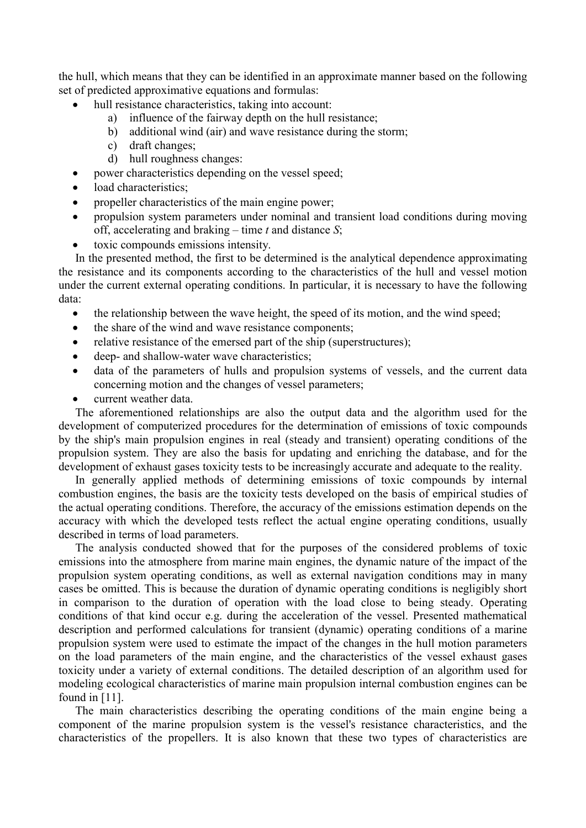the hull, which means that they can be identified in an approximate manner based on the following set of predicted approximative equations and formulas:

- hull resistance characteristics, taking into account:
	- a) influence of the fairway depth on the hull resistance;
		- b) additional wind (air) and wave resistance during the storm;
		- c) draft changes;
		- d) hull roughness changes:
- power characteristics depending on the vessel speed;
- load characteristics;
- propeller characteristics of the main engine power;
- propulsion system parameters under nominal and transient load conditions during moving off, accelerating and braking – time *t* and distance *S*;
- toxic compounds emissions intensity.

In the presented method, the first to be determined is the analytical dependence approximating the resistance and its components according to the characteristics of the hull and vessel motion under the current external operating conditions. In particular, it is necessary to have the following data:

- the relationship between the wave height, the speed of its motion, and the wind speed;
- the share of the wind and wave resistance components;
- relative resistance of the emersed part of the ship (superstructures);
- deep- and shallow-water wave characteristics;
- data of the parameters of hulls and propulsion systems of vessels, and the current data concerning motion and the changes of vessel parameters;
- current weather data.

The aforementioned relationships are also the output data and the algorithm used for the development of computerized procedures for the determination of emissions of toxic compounds by the ship's main propulsion engines in real (steady and transient) operating conditions of the propulsion system. They are also the basis for updating and enriching the database, and for the development of exhaust gases toxicity tests to be increasingly accurate and adequate to the reality.

In generally applied methods of determining emissions of toxic compounds by internal combustion engines, the basis are the toxicity tests developed on the basis of empirical studies of the actual operating conditions. Therefore, the accuracy of the emissions estimation depends on the accuracy with which the developed tests reflect the actual engine operating conditions, usually described in terms of load parameters.

The analysis conducted showed that for the purposes of the considered problems of toxic emissions into the atmosphere from marine main engines, the dynamic nature of the impact of the propulsion system operating conditions, as well as external navigation conditions may in many cases be omitted. This is because the duration of dynamic operating conditions is negligibly short in comparison to the duration of operation with the load close to being steady. Operating conditions of that kind occur e.g. during the acceleration of the vessel. Presented mathematical description and performed calculations for transient (dynamic) operating conditions of a marine propulsion system were used to estimate the impact of the changes in the hull motion parameters on the load parameters of the main engine, and the characteristics of the vessel exhaust gases toxicity under a variety of external conditions. The detailed description of an algorithm used for modeling ecological characteristics of marine main propulsion internal combustion engines can be found in [11].

The main characteristics describing the operating conditions of the main engine being a component of the marine propulsion system is the vessel's resistance characteristics, and the characteristics of the propellers. It is also known that these two types of characteristics are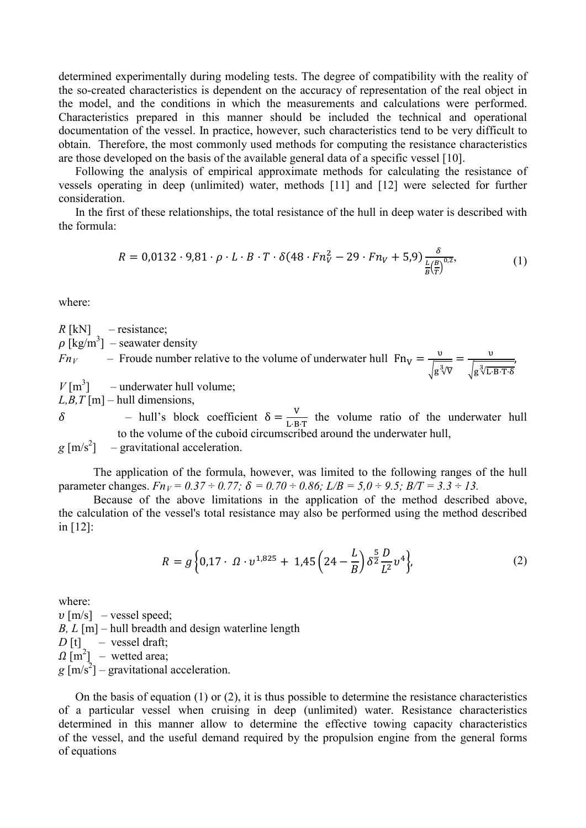determined experimentally during modeling tests. The degree of compatibility with the reality of the so-created characteristics is dependent on the accuracy of representation of the real object in the model, and the conditions in which the measurements and calculations were performed. Characteristics prepared in this manner should be included the technical and operational documentation of the vessel. In practice, however, such characteristics tend to be very difficult to obtain. Therefore, the most commonly used methods for computing the resistance characteristics are those developed on the basis of the available general data of a specific vessel [10].

Following the analysis of empirical approximate methods for calculating the resistance of vessels operating in deep (unlimited) water, methods [11] and [12] were selected for further consideration.

In the first of these relationships, the total resistance of the hull in deep water is described with the formula:

$$
R = 0.0132 \cdot 9.81 \cdot \rho \cdot L \cdot B \cdot T \cdot \delta(48 \cdot Fn_V^2 - 29 \cdot Fn_V + 5.9) \frac{\delta}{\frac{L(B)}{B(\overline{T})}^{0.2}},\tag{1}
$$

where:

 $R$  [kN] – resistance;  $\rho$  [kg/m<sup>3</sup>] – seawater density *Fn<sub>V</sub>* – Froude number relative to the volume of underwater hull  $Fn_V = \frac{v}{\sqrt{m}}$  $\sqrt{g^3/\nabla}$  $=\frac{v}{\sqrt{g^3 \sqrt{L \cdot B \cdot T \cdot \delta}}}$  $V$ [m<sup>3</sup>] – underwater hull volume;  $L, B, T$ [m] – hull dimensions,

δ – hull's block coefficient  $\delta = \frac{V}{L \cdot B \cdot T}$  the volume ratio of the underwater hull to the volume of the cuboid circumscribed around the underwater hull,

 $g \text{ [m/s}^2\text{]}$  – gravitational acceleration.

The application of the formula, however, was limited to the following ranges of the hull parameter changes.  $Fn_V = 0.37 \div 0.77$ ;  $\delta = 0.70 \div 0.86$ ;  $L/B = 5.0 \div 9.5$ ;  $B/T = 3.3 \div 13$ .

Because of the above limitations in the application of the method described above, the calculation of the vessel's total resistance may also be performed using the method described in [12]:

$$
R = g\left\{0,17 \cdot \Omega \cdot \nu^{1,825} + 1,45\left(24 - \frac{L}{B}\right)\delta^{\frac{5}{2}}\frac{D}{L^2}\nu^4\right\},\tag{2}
$$

where:

 $v$  [m/s] – vessel speed; *B, L* [m] – hull breadth and design waterline length  $D[t]$  – vessel draft;  $\Omega$  [m<sup>2</sup>] – wetted area;  $g \text{ [m/s}^2\text{]}$  – gravitational acceleration.

On the basis of equation (1) or (2), it is thus possible to determine the resistance characteristics of a particular vessel when cruising in deep (unlimited) water. Resistance characteristics determined in this manner allow to determine the effective towing capacity characteristics of the vessel, and the useful demand required by the propulsion engine from the general forms of equations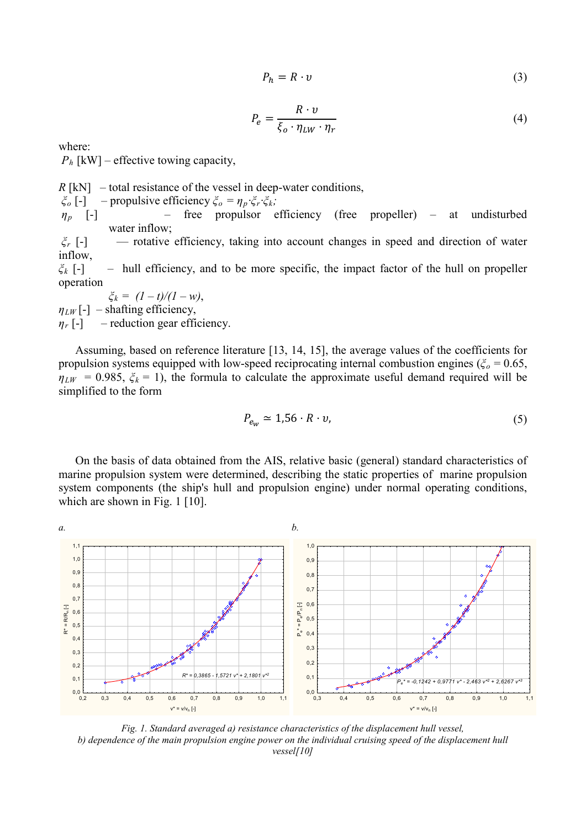$$
P_h = R \cdot v \tag{3}
$$

$$
P_e = \frac{R \cdot v}{\xi_o \cdot \eta_{LW} \cdot \eta_r} \tag{4}
$$

where:

 $P_h$  [kW] – effective towing capacity,

 $R$ [kN] – total resistance of the vessel in deep-water conditions,

*ξ<sup>o</sup>* [-] – propulsive efficiency *ξ<sup>o</sup> = ηp·ξr·ξk;*

*ηp* [-] – free propulsor efficiency (free propeller) – at undisturbed water inflow;

*ξ<sup>r</sup>* [-] — rotative efficiency, taking into account changes in speed and direction of water inflow,

*ξ<sup>k</sup>* [-] – hull efficiency, and to be more specific, the impact factor of the hull on propeller operation

 $\zeta_k = (1 - t)/(1 - w)$ ,  $\eta_{LW}$ [-] – shafting efficiency,  $\eta_r$  [-] – reduction gear efficiency.

Assuming, based on reference literature [13, 14, 15], the average values of the coefficients for propulsion systems equipped with low-speed reciprocating internal combustion engines ( $\zeta_o = 0.65$ ,  $\eta_{LW}$  = 0.985,  $\xi_k$  = 1), the formula to calculate the approximate useful demand required will be simplified to the form

$$
P_{e_W} \simeq 1.56 \cdot R \cdot v,\tag{5}
$$

On the basis of data obtained from the AIS, relative basic (general) standard characteristics of marine propulsion system were determined, describing the static properties of marine propulsion system components (the ship's hull and propulsion engine) under normal operating conditions, which are shown in Fig. 1 [10].



*Fig. 1. Standard averaged a) resistance characteristics of the displacement hull vessel, b) dependence of the main propulsion engine power on the individual cruising speed of the displacement hull vessel[10]*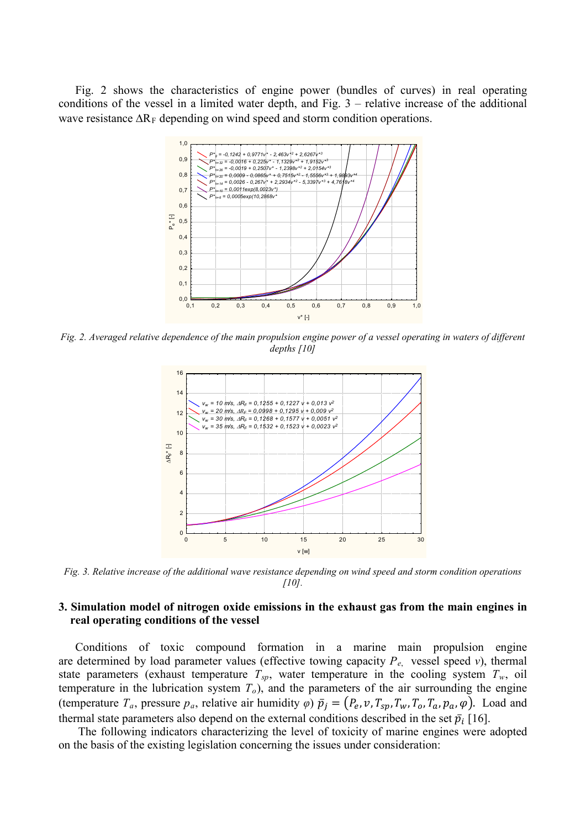Fig. 2 shows the characteristics of engine power (bundles of curves) in real operating conditions of the vessel in a limited water depth, and Fig. 3 – relative increase of the additional wave resistance  $\Delta R_F$  depending on wind speed and storm condition operations.



*Fig. 2. Averaged relative dependence of the main propulsion engine power of a vessel operating in waters of different depths [10]*



*Fig. 3. Relative increase of the additional wave resistance depending on wind speed and storm condition operations [10].*

# **3. Simulation model of nitrogen oxide emissions in the exhaust gas from the main engines in real operating conditions of the vessel**

Conditions of toxic compound formation in a marine main propulsion engine are determined by load parameter values (effective towing capacity  $P_{e}$ , vessel speed *v*), thermal state parameters (exhaust temperature  $T_{sp}$ , water temperature in the cooling system  $T_w$ , oil temperature in the lubrication system  $T<sub>o</sub>$ ), and the parameters of the air surrounding the engine (temperature  $T_a$ , pressure  $p_a$ , relative air humidity  $\varphi$ )  $\bar{p}_j = (P_e, v, T_{sp}, T_w, T_o, T_a, p_a, \varphi)$ . Load and thermal state parameters also depend on the external conditions described in the set  $\bar{p}_i$  [16].

The following indicators characterizing the level of toxicity of marine engines were adopted on the basis of the existing legislation concerning the issues under consideration: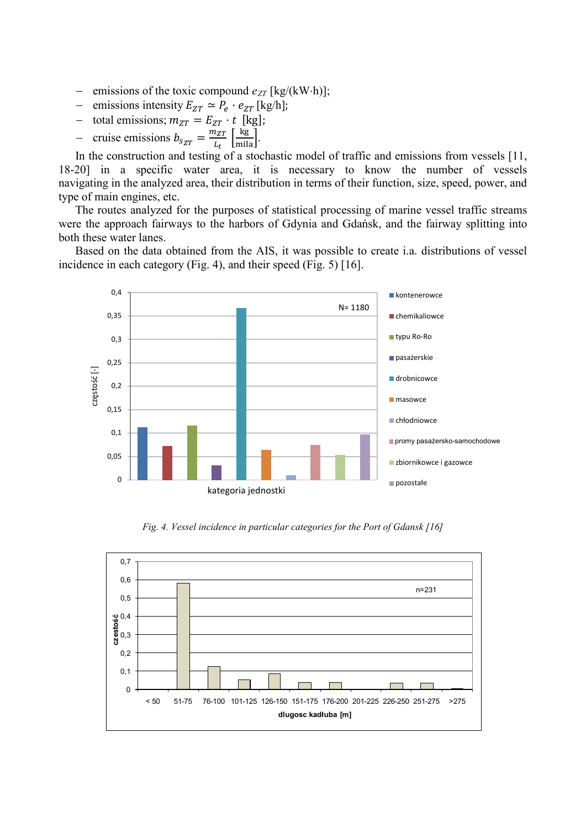- − emissions of the toxic compound  $e_{ZT}$  [kg/(kW⋅h)];
- $-$  emissions intensity  $E_{ZT} \simeq P_e \cdot e_{ZT}$  [kg/h];
- total emissions;  $m_{ZT} = E_{ZT} \cdot t$  [kg];
- $\frac{1}{\epsilon}$  cruise emissions  $b_{s_{ZT}} = \frac{m_{ZT}}{L_t} \left[ \frac{\text{kg}}{\text{mila}} \right].$

In the construction and testing of a stochastic model of traffic and emissions from vessels [11, 18-20] in a specific water area, it is necessary to know the number of vessels navigating in the analyzed area, their distribution in terms of their function, size, speed, power, and type of main engines, etc.

The routes analyzed for the purposes of statistical processing of marine vessel traffic streams were the approach fairways to the harbors of Gdynia and Gdańsk, and the fairway splitting into both these water lanes.

Based on the data obtained from the AIS, it was possible to create i.a. distributions of vessel incidence in each category (Fig. 4), and their speed (Fig. 5) [16].



*Fig. 4. Vessel incidence in particular categories for the Port of Gdansk [16]*

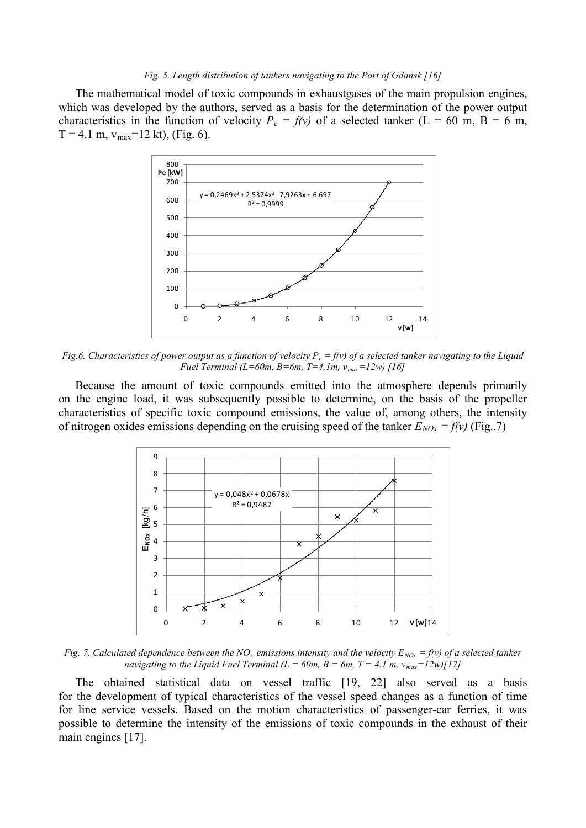#### *Fig. 5. Length distribution of tankers navigating to the Port of Gdansk [16]*

The mathematical model of toxic compounds in exhaustgases of the main propulsion engines, which was developed by the authors, served as a basis for the determination of the power output characteristics in the function of velocity  $P_e = f(v)$  of a selected tanker (L = 60 m, B = 6 m,  $T = 4.1$  m,  $v_{max} = 12$  kt), (Fig. 6).



*Fig.6. Characteristics of power output as a function of velocity*  $P_e = f(v)$  *of a selected tanker navigating to the Liquid Fuel Terminal (L=60m, B=6m, T=4,1m, vmax=12w) [16]*

Because the amount of toxic compounds emitted into the atmosphere depends primarily on the engine load, it was subsequently possible to determine, on the basis of the propeller characteristics of specific toxic compound emissions, the value of, among others, the intensity of nitrogen oxides emissions depending on the cruising speed of the tanker  $E_{NOx} = f(v)$  (Fig...7)



*Fig. 7. Calculated dependence between the NO<sub><i>x*</sub> emissions intensity and the velocity  $E_{NQx} = f(y)$  of a selected tanker *navigating to the Liquid Fuel Terminal (L = 60m, B = 6m, T = 4.1 m,*  $v_{max} = 12w/[17]$ *)* 

The obtained statistical data on vessel traffic [19, 22] also served as a basis for the development of typical characteristics of the vessel speed changes as a function of time for line service vessels. Based on the motion characteristics of passenger-car ferries, it was possible to determine the intensity of the emissions of toxic compounds in the exhaust of their main engines [17].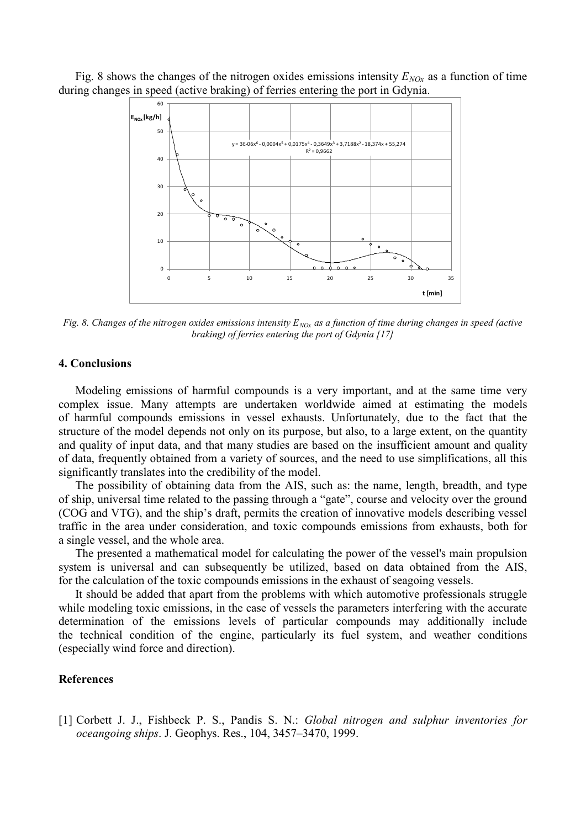Fig. 8 shows the changes of the nitrogen oxides emissions intensity  $E_{NQx}$  as a function of time during changes in speed (active braking) of ferries entering the port in Gdynia.



*Fig. 8. Changes of the nitrogen oxides emissions intensity*  $E_{NO_X}$  *as a function of time during changes in speed (active braking) of ferries entering the port of Gdynia [17]*

### **4. Conclusions**

Modeling emissions of harmful compounds is a very important, and at the same time very complex issue. Many attempts are undertaken worldwide aimed at estimating the models of harmful compounds emissions in vessel exhausts. Unfortunately, due to the fact that the structure of the model depends not only on its purpose, but also, to a large extent, on the quantity and quality of input data, and that many studies are based on the insufficient amount and quality of data, frequently obtained from a variety of sources, and the need to use simplifications, all this significantly translates into the credibility of the model.

The possibility of obtaining data from the AIS, such as: the name, length, breadth, and type of ship, universal time related to the passing through a "gate", course and velocity over the ground (COG and VTG), and the ship's draft, permits the creation of innovative models describing vessel traffic in the area under consideration, and toxic compounds emissions from exhausts, both for a single vessel, and the whole area.

The presented a mathematical model for calculating the power of the vessel's main propulsion system is universal and can subsequently be utilized, based on data obtained from the AIS, for the calculation of the toxic compounds emissions in the exhaust of seagoing vessels.

It should be added that apart from the problems with which automotive professionals struggle while modeling toxic emissions, in the case of vessels the parameters interfering with the accurate determination of the emissions levels of particular compounds may additionally include the technical condition of the engine, particularly its fuel system, and weather conditions (especially wind force and direction).

## **References**

[1] Corbett J. J., Fishbeck P. S., Pandis S. N.: *Global nitrogen and sulphur inventories for oceangoing ships*. J. Geophys. Res., 104, 3457–3470, 1999.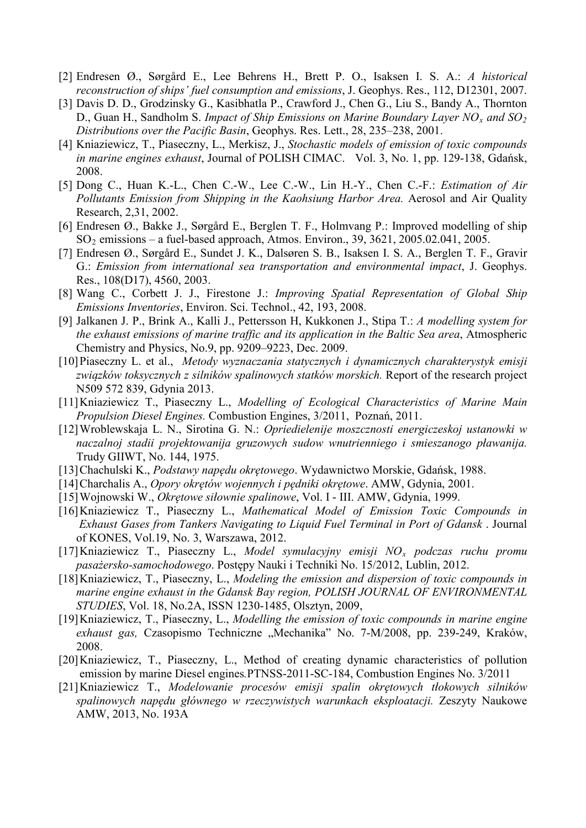- [2] Endresen Ø., Sørgård E., Lee Behrens H., Brett P. O., Isaksen I. S. A.: *A historical reconstruction of ships' fuel consumption and emissions*, J. Geophys. Res., 112, D12301, 2007.
- [3] Davis D. D., Grodzinsky G., Kasibhatla P., Crawford J., Chen G., Liu S., Bandy A., Thornton D., Guan H., Sandholm S. *Impact of Ship Emissions on Marine Boundary Layer NO<sub>x</sub> and SO<sub>2</sub> Distributions over the Pacific Basin*, Geophys. Res. Lett., 28, 235–238, 2001.
- [4] Kniaziewicz, T., Piaseczny, L., Merkisz, J., *Stochastic models of emission of toxic compounds in marine engines exhaust*, Journal of POLISH CIMAC. Vol. 3, No. 1, pp. 129-138, Gdańsk, 2008.
- [5] Dong C., Huan K.-L., Chen C.-W., Lee C.-W., Lin H.-Y., Chen C.-F.: *Estimation of Air Pollutants Emission from Shipping in the Kaohsiung Harbor Area.* Aerosol and Air Quality Research, 2,31, 2002.
- [6] Endresen Ø., Bakke J., Sørgård E., Berglen T. F., Holmvang P.: Improved modelling of ship SO2 emissions – a fuel-based approach, Atmos. Environ., 39, 3621, 2005.02.041, 2005.
- [7] Endresen Ø., Sørgård E., Sundet J. K., Dalsøren S. B., Isaksen I. S. A., Berglen T. F., Gravir G.: *Emission from international sea transportation and environmental impact*, J. Geophys. Res., 108(D17), 4560, 2003.
- [8] Wang C., Corbett J. J., Firestone J.: *Improving Spatial Representation of Global Ship Emissions Inventories*, Environ. Sci. Technol., 42, 193, 2008.
- [9] Jalkanen J. P., Brink A., Kalli J., Pettersson H, Kukkonen J., Stipa T.: *A modelling system for the exhaust emissions of marine traffic and its application in the Baltic Sea area*, Atmospheric Chemistry and Physics, No.9, pp. 9209–9223, Dec. 2009.
- [10]Piaseczny L. et al., *Metody wyznaczania statycznych i dynamicznych charakterystyk emisji związków toksycznych z silników spalinowych statków morskich.* Report of the research project N509 572 839, Gdynia 2013.
- [11]Kniaziewicz T., Piaseczny L., *Modelling of Ecological Characteristics of Marine Main Propulsion Diesel Engines.* Combustion Engines, 3/2011, Poznań, 2011.
- [12]Wroblewskaja L. N., Sirotina G. N.: *Opriedielenije moszcznosti energiczeskoj ustanowki w naczalnoj stadii projektowanija gruzowych sudow wnutrienniego i smieszanogo pławanija.* Trudy GIIWT, No. 144, 1975.
- [13]Chachulski K., *Podstawy napędu okrętowego*. Wydawnictwo Morskie, Gdańsk, 1988.
- [14]Charchalis A., *Opory okrętów wojennych i pędniki okrętowe*. AMW, Gdynia, 2001.
- [15]Wojnowski W., *Okrętowe siłownie spalinowe*, Vol. I III. AMW, Gdynia, 1999.
- [16]Kniaziewicz T., Piaseczny L., *Mathematical Model of Emission Toxic Compounds in Exhaust Gases from Tankers Navigating to Liquid Fuel Terminal in Port of Gdansk* . Journal of KONES, Vol.19, No. 3, Warszawa, 2012.
- [17]Kniaziewicz T., Piaseczny L., *Model symulacyjny emisji NO<sup>x</sup> podczas ruchu promu pasażersko-samochodowego*. Postępy Nauki i Techniki No. 15/2012, Lublin, 2012.
- [18]Kniaziewicz, T., Piaseczny, L., *Modeling the emission and dispersion of toxic compounds in marine engine exhaust in the Gdansk Bay region, POLISH JOURNAL OF ENVIRONMENTAL STUDIES*, Vol. 18, No.2A, ISSN 1230-1485, Olsztyn, 2009,
- [19]Kniaziewicz, T., Piaseczny, L., *Modelling the emission of toxic compounds in marine engine*  exhaust gas, Czasopismo Techniczne "Mechanika" No. 7-M/2008, pp. 239-249, Kraków, 2008.
- [20]Kniaziewicz, T., Piaseczny, L., Method of creating dynamic characteristics of pollution emission by marine Diesel engines*.*PTNSS-2011-SC-184, Combustion Engines No. 3/2011
- [21]Kniaziewicz T., *Modelowanie procesów emisji spalin okrętowych tłokowych silników spalinowych napędu głównego w rzeczywistych warunkach eksploatacji.* Zeszyty Naukowe AMW, 2013, No. 193A